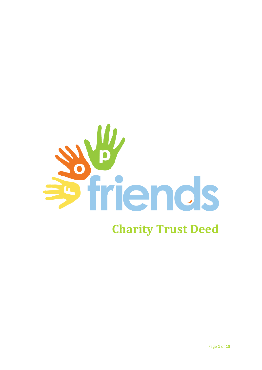

# **Charity Trust Deed**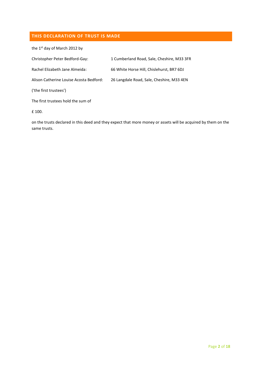# **THIS DECLARATION OF TRUST IS MADE**

the 1<sup>st</sup> day of March 2012 by

| Christopher Peter Bedford-Gay:          | 1 Cumberland Road, Sale, Cheshire, M33 3FR |
|-----------------------------------------|--------------------------------------------|
| Rachel Elizabeth Jane Almeida:          | 66 White Horse Hill, Chislehurst, BR7 6DJ  |
| Alison Catherine Louise Acosta Bedford: | 26 Langdale Road, Sale, Cheshire, M33 4EN  |
| ('the first trustees')                  |                                            |
| The first trustees hold the sum of      |                                            |
| £ 100.                                  |                                            |

on the trusts declared in this deed and they expect that more money or assets will be acquired by them on the same trusts.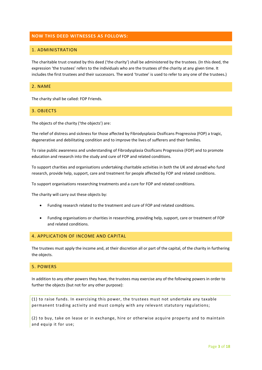# **NOW THIS DEED WITNESSES AS FOLLOWS:**

# 1. ADMINISTRATION

The charitable trust created by this deed ('the charity') shall be administered by the trustees. (In this deed, the expression 'the trustees' refers to the individuals who are the trustees of the charity at any given time. It includes the first trustees and their successors. The word 'trustee' is used to refer to any one of the trustees.)

#### 2. NAME

The charity shall be called: FOP Friends.

#### 3. OBJECTS

The objects of the charity ('the objects') are:

The relief of distress and sickness for those affected by Fibrodysplasia Ossificans Progressiva (FOP) a tragic, degenerative and debilitating condition and to improve the lives of sufferers and their families.

To raise public awareness and understanding of Fibrodysplasia Ossificans Progressiva (FOP) and to promote education and research into the study and cure of FOP and related conditions.

To support charities and organisations undertaking charitable activities in both the UK and abroad who fund research, provide help, support, care and treatment for people affected by FOP and related conditions.

To support organisations researching treatments and a cure for FOP and related conditions.

The charity will carry out these objects by:

- Funding research related to the treatment and cure of FOP and related conditions.
- Funding organisations or charities in researching, providing help, support, care or treatment of FOP and related conditions.

# 4. APPLICATION OF INCOME AND CAPITAL

The trustees must apply the income and, at their discretion all or part of the capital, of the charity in furthering the objects.

# 5. POWERS

In addition to any other powers they have, the trustees may exercise any of the following powers in order to further the objects (but not for any other purpose):

(1) to raise funds. In exercising this power, the trustees must not undertake any taxable permanent trading activity and must comply with any releva nt statutory regulations;

(2) to buy, take on lease or in exchange, hire or otherwise acquire property and to maintain and equip it for use;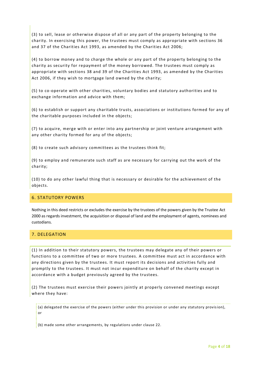(3) to sell, lease or otherwise dispose of all or any part of the property belonging to the charity. In exercising this power, the trustees must comply as appropriate with sections 36 and 37 of the Charities Act 1993, as amended by the Charities Act 2006;

(4) to borrow money and to charge the whole or any part of the property belonging to the charity as security for repayment of the money borrowed. The trustees must comply as appropriate with sections 38 and 39 of the Charities Act 1993, as amended by the Charities Act 2006, if they wish to mortgage land owned by the charity;

(5) to co-operate with other charities, voluntary bodies and statutory authorities and to exchange information and advice with them;

(6) to establish or support any charitable trusts, associations or institutions formed for any of the charitable purposes included in the objects;

(7) to acquire, merge with or enter into any partnership or joint venture arrangement with any other charity formed for any of the objects;

(8) to create such advisory committees as the trustees think fit;

(9) to employ and remunerate such staff as are necessary for carrying out the work of the charity;

(10) to do any other lawful thing that is necessary or desirable for the achievement of the objects.

#### 6. STATUTORY POWERS

Nothing in this deed restricts or excludes the exercise by the trustees of the powers given by the Trustee Act 2000 as regards investment, the acquisition or disposal of land and the employment of agents, nominees and custodians.

# 7. DELEGATION

(1) In addition to their statutory powers, the trustees may delegate any of their powers or functions to a committee of two or more trustees. A committee must act in accordance with any directions given by the trustees. It must report its decisions and activities fully and promptly to the trustees. It must not incur expenditure on behalf of the charity except in accordance with a budget previously agreed by the trustees.

(2) The trustees must exercise their powers jointly at properly convened meetings except where they have:

(a) delegated the exercise of the powers (either under this provision or under any statutory provision), or

(b) made some other arrangements, by regulations under clause 22.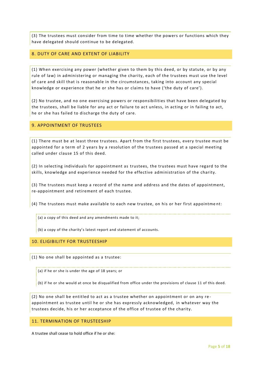(3) The trustees must consider from time to time whether the powers or functions which they have delegated should continue to be delegated.

#### 8. DUTY OF CARE AND EXTENT OF LIABILITY

(1) When exercising any power (whether given to them by this deed, or by statute, or by any rule of law) in administering or managing the charity, each of the trustees must use the level of care and skill that is reasonable in the circumstances, taking into account any special knowledge or experience that he or she has or claims to have ('the duty of care').

(2) No trustee, and no one exercising powers or responsibilities that have been delegated by the trustees, shall be liable for any act or failure to act unless, in acting or in failing to act, he or she has failed to discharge the duty of care.

#### 9. APPOINTMENT OF TRUSTEES

(1) There must be at least three trustees. Apart from the first trustees, every trustee must be appointed for a term of 2 years by a resolution of the trustees passed at a special meeting called under clause 15 of this deed.

(2) In selecting individuals for appointment as trustees, the trustees must have regard to the skills, knowledge and experience needed for the effective administration of the charity.

(3) The trustees must keep a record of the name and address and the dates of appointment, re-appointment and retirement of each trustee.

(4) The trustees must make available to each new trustee, on his or her first appointme nt:

(a) a copy of this deed and any amendments made to it;

(b) a copy of the charity's latest report and statement of accounts.

## 10. ELIGIBILITY FOR TRUSTEESHIP

(1) No one shall be appointed as a trustee:

(a) if he or she is under the age of 18 years; or

(b) if he or she would at once be disqualified from office under the provisions of clause 11 of this deed.

(2) No one shall be entitled to act as a trustee whether on appointment or on any re appointment as trustee until he or she has expressly acknowledged, in whatever way the trustees decide, his or her acceptance of the office of trustee of the charity.

## 11. TERMINATION OF TRUSTEESHIP

A trustee shall cease to hold office if he or she: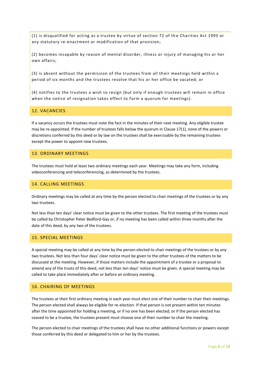(1) is disqualified for acting as a trustee by virtue of section 72 of th e Charities Act 1993 or any statutory re-enactment or modification of that provision;

(2) becomes incapable by reason of mental disorder, illness or injury of managing his or her own affairs;

(3) is absent without the permission of the trustees from all th eir meetings held within a period of six months and the trustees resolve that his or her office be vacated; or

(4) notifies to the trustees a wish to resign (but only if enough trustees will remain in office when the notice of resignation takes effect to form a quorum for meetings).

## 12. VACANCIES

If a vacancy occurs the trustees must note the fact in the minutes of their next meeting. Any eligible trustee may be re-appointed. If the number of trustees falls below the quorum in Clause 17(1), none of the powers or discretions conferred by this deed or by law on the trustees shall be exercisable by the remaining trustees except the power to appoint new trustees.

#### 13. ORDINARY MEETINGS

The trustees must hold at least two ordinary meetings each year. Meetings may take any form, including videoconferencing and teleconferencing, as determined by the trustees.

#### 14. CALLING MEETINGS

Ordinary meetings may be called at any time by the person elected to chair meetings of the trustees or by any two trustees.

Not less than ten days' clear notice must be given to the other trustees. The first meeting of the trustees must be called by Christopher Peter Bedford-Gay or, if no meeting has been called within three months after the date of this deed, by any two of the trustees.

# 15. SPECIAL MEETINGS

A special meeting may be called at any time by the person elected to chair meetings of the trustees or by any two trustees. Not less than four days' clear notice must be given to the other trustees of the matters to be discussed at the meeting. However, if those matters include the appointment of a trustee or a proposal to amend any of the trusts of this deed, not less than ten days' notice must be given. A special meeting may be called to take place immediately after or before an ordinary meeting.

# 16. CHAIRING OF MEETINGS

The trustees at their first ordinary meeting in each year must elect one of their number to chair their meetings. The person elected shall always be eligible for re-election. If that person is not present within ten minutes after the time appointed for holding a meeting, or if no one has been elected, or if the person elected has ceased to be a trustee, the trustees present must choose one of their number to chair the meeting.

The person elected to chair meetings of the trustees shall have no other additional functions or powers except those conferred by this deed or delegated to him or her by the trustees.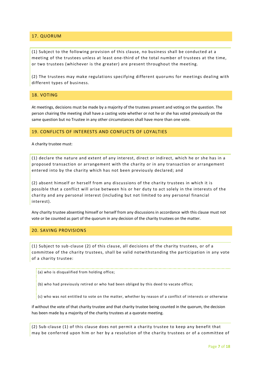# 17. QUORUM

(1) Subject to the following provision of this clause, no business shall be conducted at a meeting of the trustees unless at least one-third of the total number of trustees at the time, or two trustees (whichever is the greater) are present throughout the meeting.

(2) The trustees may make regulations specifying different quorums for meetings dealing with different types of business.

#### 18. VOTING

At meetings, decisions must be made by a majority of the trustees present and voting on the question. The person chairing the meeting shall have a casting vote whether or not he or she has voted previously on the same question but no Trustee in any other circumstances shall have more than one vote.

#### 19. CONFLICTS OF INTERESTS AND CONFLICTS OF LOYALTIES

A charity trustee must:

(1) declare the nature and extent of any interest, direct or indirect, which he or she has in a proposed transaction or arrangement with the charity or in any transaction or arrangement entered into by the charity which has not been previously declared; and

(2) absent himself or herself from any discussions of the charity trustees in which it is possible that a conflict will arise between his or her duty to act solely in the interests of the charity and any personal interest (including but not limited to any personal financial interest).

Any charity trustee absenting himself or herself from any discussions in accordance with this clause must not vote or be counted as part of the quorum in any decision of the charity trustees on the matter.

#### 20. SAVING PROVISIONS

(1) Subject to sub-clause (2) of this clause, all decisions of the charity trustees, or of a committee of the charity trustees, shall be valid notwithstanding the participation in any vote of a charity trustee:

(a) who is disqualified from holding office;

(b) who had previously retired or who had been obliged by this deed to vacate office;

(c) who was not entitled to vote on the matter, whether by reason of a conflict of interests or otherwise

if without the vote of that charity trustee and that charity trustee being counted in the quorum, the decision has been made by a majority of the charity trustees at a quorate meeting.

(2) Sub-clause (1) of this clause does not permit a charity trustee to keep any benefit that may be conferred upon him or her by a resolution of the charity trustees or of a committee of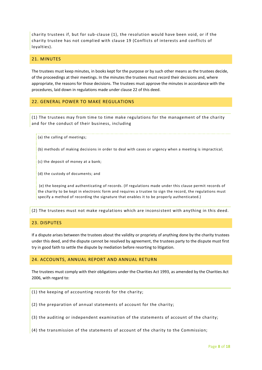charity trustees if, but for sub-clause (1), the resolution would have been void, or if the charity trustee has not complied with clause 19 (Conflicts of interests and conflicts of loyalties).

#### 21. MINUTES

The trustees must keep minutes, in books kept for the purpose or by such other means as the trustees decide, of the proceedings at their meetings. In the minutes the trustees must record their decisions and, where appropriate, the reasons for those decisions. The trustees must approve the minutes in accordance with the procedures, laid down in regulations made under clause 22 of this deed.

# 22. GENERAL POWER TO MAKE REGULATIONS

(1) The trustees may from time to time make regulations for the management of the charity and for the conduct of their business, including

(a) the calling of meetings;

(b) methods of making decisions in order to deal with cases or urgency when a meeting is impractical;

(c) the deposit of money at a bank;

(d) the custody of documents; and

(e) the keeping and authenticating of records. (If regulations made under this clause permit records of the charity to be kept in electronic form and requires a trustee to sign the record, the regulations must specify a method of recording the signature that enables it to be properly authenticated.)

(2) The trustees must not make regulations which are inconsistent with anything in this deed.

# 23. DISPUTES

If a dispute arises between the trustees about the validity or propriety of anything done by the charity trustees under this deed, and the dispute cannot be resolved by agreement, the trustees party to the dispute must first try in good faith to settle the dispute by mediation before resorting to litigation.

#### 24. ACCOUNTS, ANNUAL REPORT AND ANNUAL RETURN

The trustees must comply with their obligations under the Charities Act 1993, as amended by the Charities Act 2006, with regard to:

(1) the keeping of accounting records for the charity;

(2) the preparation of annual statements of account for the charity;

(3) the auditing or independent examination of the statements of account of the charity;

(4) the transmission of the statements of account of the charity to the Commission;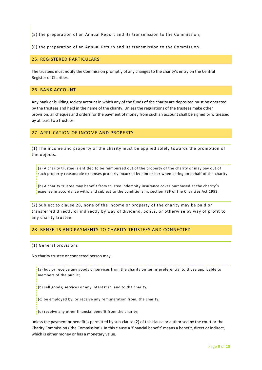(5) the preparation of an Annual Report and its transmission to the Commission;

(6) the preparation of an Annual Return and its transmission to the Commission.

#### 25. REGISTERED PARTICULARS

The trustees must notify the Commission promptly of any changes to the charity's entry on the Central Register of Charities.

# 26. BANK ACCOUNT

Any bank or building society account in which any of the funds of the charity are deposited must be operated by the trustees and held in the name of the charity. Unless the regulations of the trustees make other provision, all cheques and orders for the payment of money from such an account shall be signed or witnessed by at least two trustees.

#### 27. APPLICATION OF INCOME AND PROPERTY

(1) The income and property of the charity must be applied solely towards the promotion of the objects.

(a) A charity trustee is entitled to be reimbursed out of the property of the charity or may pay out of such property reasonable expenses properly incurred by him or her when acting on behalf of the charity.

(b) A charity trustee may benefit from trustee indemnity insurance cover purchased at the charity's expense in accordance with, and subject to the conditions in, section 73F of the Charities Act 1993.

(2) Subject to clause 28, none of the income or property of the charity may be paid or transferred directly or indirectly by way of dividend, bonus, or otherwise by way of profit to any charity trustee.

#### 28. BENEFITS AND PAYMENTS TO CHARITY TRUSTEES AND CONNECTED

#### (1) General provisions

No charity trustee or connected person may:

(a) buy or receive any goods or services from the charity on terms preferential to those applicable to members of the public;

(b) sell goods, services or any interest in land to the charity;

(c) be employed by, or receive any remuneration from, the charity;

(d) receive any other financial benefit from the charity;

unless the payment or benefit is permitted by sub-clause (2) of this clause or authorised by the court or the Charity Commission ('the Commission'). In this clause a 'financial benefit' means a benefit, direct or indirect, which is either money or has a monetary value.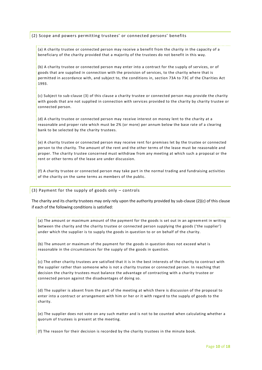#### (2) Scope and powers permitting trustees' or connected persons' benefits

(a) A charity trustee or connected person may receive a benefit from the charity in the capacity of a beneficiary of the charity provided that a majority of the trustees do not benefit in this way.

(b) A charity trustee or connected person may enter into a contract for the supply of services, or of goods that are supplied in connection with the provision of services, to the charity where that is permitted in accordance with, and subject to, the conditions in, section 73A to 73C of the Charities Act 1993.

(c) Subject to sub-clause (3) of this clause a charity trustee or connected person may provide the charity with goods that are not supplied in connection with services provided to the charity by charity trustee or connected person.

(d) A charity trustee or connected person may receive interest on money lent to the charity at a reasonable and proper rate which must be 2% (or more) per annum below the base rate of a clearing bank to be selected by the charity trustees.

(e) A charity trustee or connected person may receive rent for premises let by the trustee or connected person to the charity. The amount of the rent and the other terms of the lease must be reasonable and proper. The charity trustee concerned must withdraw from any meeting at which such a proposal or the rent or other terms of the lease are under discussion.

(f) A charity trustee or connected person may take part in the normal trading and fundraising activities of the charity on the same terms as members of the public.

#### (3) Payment for the supply of goods only – controls

The charity and its charity trustees may only rely upon the authority provided by sub-clause (2)(c) of this clause if each of the following conditions is satisfied:

(a) The amount or maximum amount of the payment for the goods is set out in an agreement in writing between the charity and the charity trustee or connected person supplying the goods ('the supplier') under which the supplier is to supply the goods in question to or on behalf of the charity.

(b) The amount or maximum of the payment for the goods in question does not exceed what is reasonable in the circumstances for the supply of the goods in question.

(c) The other charity trustees are satisfied that it is in the best interests of the charity to contract with the supplier rather than someone who is not a charity trustee or connected person. In reaching that decision the charity trustees must balance the advantage of contracting with a charity trustee or connected person against the disadvantages of doing so.

(d) The supplier is absent from the part of the meeting at which there is discussion of the proposal to enter into a contract or arrangement with him or her or it with regard to the supply of goods to the charity.

(e) The supplier does not vote on any such matter and is not to be counted when calculating whether a quorum of trustees is present at the meeting.

(f) The reason for their decision is recorded by the charity trustees in the minute book.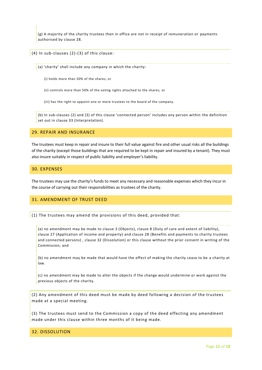(g) A majority of the charity trustees then in office are not in receipt of remuneration or payments authorised by clause 28.

(4) In sub-clauses (2)-(3) of this clause:

(a) 'charity' shall include any company in which the charity:

- (i) holds more than 50% of the shares; or
- (ii) controls more than 50% of the voting rights attached to the shares; or

(iii) has the right to appoint one or more trustees to the board of the company.

(b) In sub-clauses (2) and (3) of this clause 'connected person' includes any person within the definition set out in clause 33 (Interpretation).

# 29. REPAIR AND INSURANCE

The trustees must keep in repair and insure to their full value against fire and other usual risks all the buildings of the charity (except those buildings that are required to be kept in repair and insured by a tenant). They must also insure suitably in respect of public liability and employer's liability.

#### 30. EXPENSES

The trustees may use the charity's funds to meet any necessary and reasonable expenses which they incur in the course of carrying out their responsibilities as trustees of the charity.

## 31. AMENDMENT OF TRUST DEED

(1) The trustees may amend the provisions of this deed, provided that:

(a) no amendment may be made to clause 3 (Objects), clause 8 (Duty of care and extent of liability), clause 27 (Application of income and property) and clause 28 (Benefits and payments to charity trustees and connected persons) , clause 32 (Dissolution) or this clause without the prior consent in writing of the Commission; and

(b) no amendment may be made that would have the effect of making the charity cease to be a charity at law.

(c) no amendment may be made to alter the objects if the change would undermine or work against the previous objects of the charity.

(2) Any amendment of this deed must be made by deed following a decision of the trustees made at a special meeting.

(3) The trustees must send to the Commission a copy of the deed effecting any amendment made under this clause within three months of it being made.

#### 32. DISSOLUTION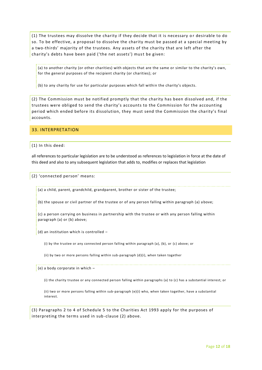(1) The trustees may dissolve the charity if they decide that it is necessary or desirable to do so. To be effective, a proposal to dissolve the charity must be passed at a special meeting by a two-thirds' majority of the trustees. Any assets of the charity that are left after the charity's debts have been paid ('the net assets') must be given:

(a) to another charity (or other charities) with objects that are the same or similar to the charity's own, for the general purposes of the recipient charity (or charities); or

(b) to any charity for use for particular purposes which fall within the charity's objects.

(2) The Commission must be notified promptly that the charity has been dissolved and, if the trustees were obliged to send the charity's accounts to the Commission for the accounting period which ended before its dissolution, they must send the Commission the charity's final accounts.

# 33. INTERPRETATION

(1) In this deed:

all references to particular legislation are to be understood as references to legislation in force at the date of this deed and also to any subsequent legislation that adds to, modifies or replaces that legislation

(2) 'connected person' means:

(a) a child, parent, grandchild, grandparent, brother or sister of the trustee;

(b) the spouse or civil partner of the trustee or of any person falling within paragraph (a) a bove;

(c) a person carrying on business in partnership with the trustee or with any person falling within paragraph (a) or (b) above;

(d) an institution which is controlled –

(i) by the trustee or any connected person falling within paragraph (a), (b), or (c) above; or

(ii) by two or more persons falling within sub-paragraph (d)(i), when taken together

(e) a body corporate in which –

(i) the charity trustee or any connected person falling within paragraphs (a) to (c) has a substantial interest; or

(ii) two or more persons falling within sub-paragraph (e)(i) who, when taken together, have a substantial interest.

(3) Paragraphs 2 to 4 of Schedule 5 to the Charities Act 1993 apply for the purposes of interpreting the terms used in sub-clause (2) above.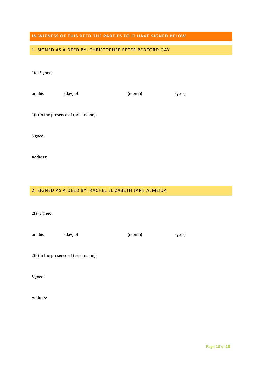# **IN WITNESS OF THIS DEED THE PARTIES TO IT HAVE SIGNED BELOW**

# 1. SIGNED AS A DEED BY: CHRISTOPHER PETER BEDFORD-GAY

# 1(a) Signed:

| on this | (day) of                              | (month) | (year) |
|---------|---------------------------------------|---------|--------|
|         | 1(b) in the presence of (print name): |         |        |

Signed:

Address:

# 2. SIGNED AS A DEED BY: RACHEL ELIZABETH JANE ALMEIDA

2(a) Signed:

| (month) | (year) |
|---------|--------|
|         |        |

2(b) in the presence of (print name):

Signed: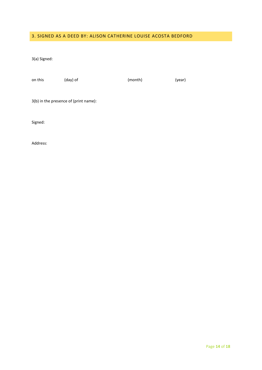# 3. SIGNED AS A DEED BY: ALISON CATHERINE LOUISE ACOSTA BEDFORD

3(a) Signed:

| on this | (day) of                              | (month) | (year) |
|---------|---------------------------------------|---------|--------|
|         |                                       |         |        |
|         | 3(b) in the presence of (print name): |         |        |

Signed: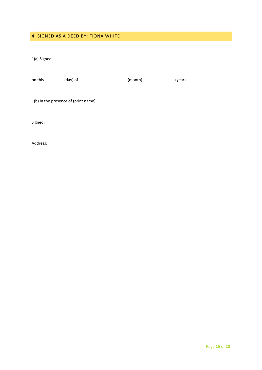# 4. SIGNED AS A DEED BY: FIONA WHITE

1(a) Signed:

| on this                               | (day) of | (month) | (year) |  |
|---------------------------------------|----------|---------|--------|--|
|                                       |          |         |        |  |
| 1(b) in the presence of (print name): |          |         |        |  |

Signed: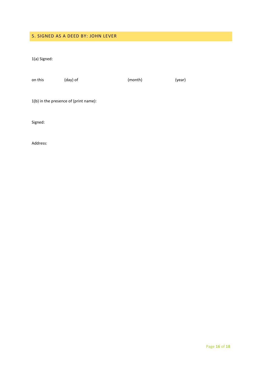# 5. SIGNED AS A DEED BY: JOHN LEVER

1(a) Signed:

| on this | (day) of | (month) | (year) |
|---------|----------|---------|--------|
|         |          |         |        |

1(b) in the presence of (print name):

Signed: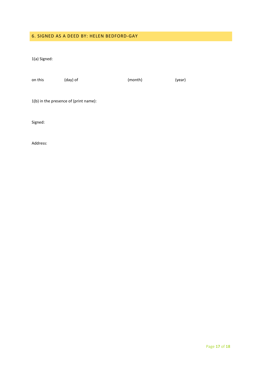# 6. SIGNED AS A DEED BY: HELEN BEDFORD-GAY

1(a) Signed:

| on this | (day) of | (month) | (year) |
|---------|----------|---------|--------|
|         |          |         |        |
|         |          |         |        |

1(b) in the presence of (print name):

Signed: